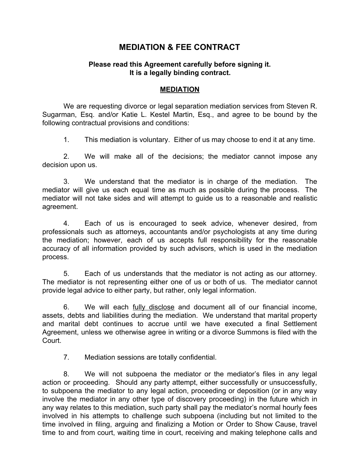## **MEDIATION & FEE CONTRACT**

## **Please read this Agreement carefully before signing it. It is a legally binding contract.**

## **MEDIATION**

We are requesting divorce or legal separation mediation services from Steven R. Sugarman, Esq. and/or Katie L. Kestel Martin, Esq., and agree to be bound by the following contractual provisions and conditions:

1. This mediation is voluntary. Either of us may choose to end it at any time.

2. We will make all of the decisions; the mediator cannot impose any decision upon us.

3. We understand that the mediator is in charge of the mediation. The mediator will give us each equal time as much as possible during the process. The mediator will not take sides and will attempt to guide us to a reasonable and realistic agreement.

4. Each of us is encouraged to seek advice, whenever desired, from professionals such as attorneys, accountants and/or psychologists at any time during the mediation; however, each of us accepts full responsibility for the reasonable accuracy of all information provided by such advisors, which is used in the mediation process.

5. Each of us understands that the mediator is not acting as our attorney. The mediator is not representing either one of us or both of us. The mediator cannot provide legal advice to either party, but rather, only legal information.

6. We will each fully disclose and document all of our financial income, assets, debts and liabilities during the mediation. We understand that marital property and marital debt continues to accrue until we have executed a final Settlement Agreement, unless we otherwise agree in writing or a divorce Summons is filed with the Court.

7. Mediation sessions are totally confidential.

8. We will not subpoena the mediator or the mediator's files in any legal action or proceeding. Should any party attempt, either successfully or unsuccessfully, to subpoena the mediator to any legal action, proceeding or deposition (or in any way involve the mediator in any other type of discovery proceeding) in the future which in any way relates to this mediation, such party shall pay the mediator's normal hourly fees involved in his attempts to challenge such subpoena (including but not limited to the time involved in filing, arguing and finalizing a Motion or Order to Show Cause, travel time to and from court, waiting time in court, receiving and making telephone calls and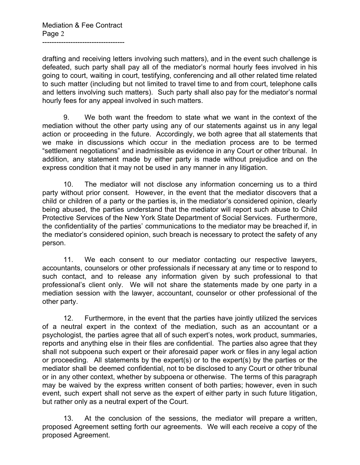drafting and receiving letters involving such matters), and in the event such challenge is defeated, such party shall pay all of the mediator's normal hourly fees involved in his going to court, waiting in court, testifying, conferencing and all other related time related to such matter (including but not limited to travel time to and from court, telephone calls and letters involving such matters). Such party shall also pay for the mediator's normal hourly fees for any appeal involved in such matters.

9. We both want the freedom to state what we want in the context of the mediation without the other party using any of our statements against us in any legal action or proceeding in the future. Accordingly, we both agree that all statements that we make in discussions which occur in the mediation process are to be termed "settlement negotiations" and inadmissible as evidence in any Court or other tribunal. In addition, any statement made by either party is made without prejudice and on the express condition that it may not be used in any manner in any litigation.

10. The mediator will not disclose any information concerning us to a third party without prior consent. However, in the event that the mediator discovers that a child or children of a party or the parties is, in the mediator's considered opinion, clearly being abused, the parties understand that the mediator will report such abuse to Child Protective Services of the New York State Department of Social Services. Furthermore, the confidentiality of the parties' communications to the mediator may be breached if, in the mediator's considered opinion, such breach is necessary to protect the safety of any person.

11. We each consent to our mediator contacting our respective lawyers, accountants, counselors or other professionals if necessary at any time or to respond to such contact, and to release any information given by such professional to that professional's client only. We will not share the statements made by one party in a mediation session with the lawyer, accountant, counselor or other professional of the other party.

12. Furthermore, in the event that the parties have jointly utilized the services of a neutral expert in the context of the mediation, such as an accountant or a psychologist, the parties agree that all of such expert's notes, work product, summaries, reports and anything else in their files are confidential. The parties also agree that they shall not subpoena such expert or their aforesaid paper work or files in any legal action or proceeding. All statements by the expert(s) or to the expert(s) by the parties or the mediator shall be deemed confidential, not to be disclosed to any Court or other tribunal or in any other context, whether by subpoena or otherwise. The terms of this paragraph may be waived by the express written consent of both parties; however, even in such event, such expert shall not serve as the expert of either party in such future litigation, but rather only as a neutral expert of the Court.

13. At the conclusion of the sessions, the mediator will prepare a written, proposed Agreement setting forth our agreements. We will each receive a copy of the proposed Agreement.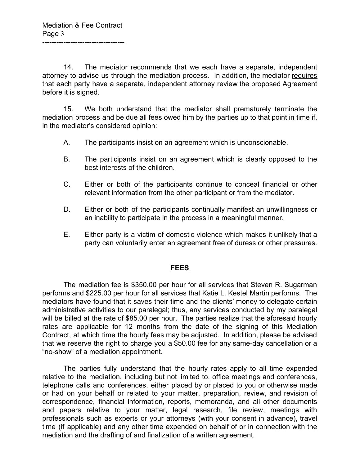14. The mediator recommends that we each have a separate, independent attorney to advise us through the mediation process. In addition, the mediator requires that each party have a separate, independent attorney review the proposed Agreement before it is signed.

15. We both understand that the mediator shall prematurely terminate the mediation process and be due all fees owed him by the parties up to that point in time if, in the mediator's considered opinion:

- A. The participants insist on an agreement which is unconscionable.
- B. The participants insist on an agreement which is clearly opposed to the best interests of the children.
- C. Either or both of the participants continue to conceal financial or other relevant information from the other participant or from the mediator.
- D. Either or both of the participants continually manifest an unwillingness or an inability to participate in the process in a meaningful manner.
- E. Either party is a victim of domestic violence which makes it unlikely that a party can voluntarily enter an agreement free of duress or other pressures.

## **FEES**

The mediation fee is \$350.00 per hour for all services that Steven R. Sugarman performs and \$225.00 per hour for all services that Katie L. Kestel Martin performs. The mediators have found that it saves their time and the clients' money to delegate certain administrative activities to our paralegal; thus, any services conducted by my paralegal will be billed at the rate of \$85.00 per hour. The parties realize that the aforesaid hourly rates are applicable for 12 months from the date of the signing of this Mediation Contract, at which time the hourly fees may be adjusted. In addition, please be advised that we reserve the right to charge you a \$50.00 fee for any same-day cancellation or a "no-show" of a mediation appointment.

The parties fully understand that the hourly rates apply to all time expended relative to the mediation, including but not limited to, office meetings and conferences, telephone calls and conferences, either placed by or placed to you or otherwise made or had on your behalf or related to your matter, preparation, review, and revision of correspondence, financial information, reports, memoranda, and all other documents and papers relative to your matter, legal research, file review, meetings with professionals such as experts or your attorneys (with your consent in advance), travel time (if applicable) and any other time expended on behalf of or in connection with the mediation and the drafting of and finalization of a written agreement.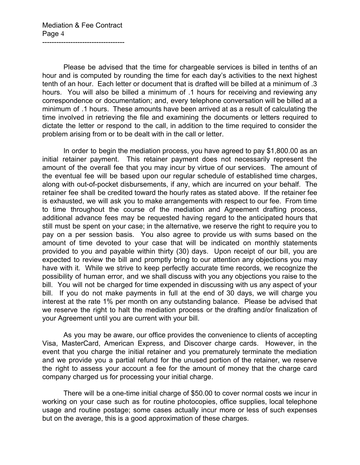Please be advised that the time for chargeable services is billed in tenths of an hour and is computed by rounding the time for each day's activities to the next highest tenth of an hour. Each letter or document that is drafted will be billed at a minimum of .3 hours. You will also be billed a minimum of .1 hours for receiving and reviewing any correspondence or documentation; and, every telephone conversation will be billed at a minimum of .1 hours. These amounts have been arrived at as a result of calculating the time involved in retrieving the file and examining the documents or letters required to dictate the letter or respond to the call, in addition to the time required to consider the problem arising from or to be dealt with in the call or letter.

In order to begin the mediation process, you have agreed to pay \$1,800.00 as an initial retainer payment. This retainer payment does not necessarily represent the amount of the overall fee that you may incur by virtue of our services. The amount of the eventual fee will be based upon our regular schedule of established time charges, along with out-of-pocket disbursements, if any, which are incurred on your behalf. The retainer fee shall be credited toward the hourly rates as stated above. If the retainer fee is exhausted, we will ask you to make arrangements with respect to our fee. From time to time throughout the course of the mediation and Agreement drafting process, additional advance fees may be requested having regard to the anticipated hours that still must be spent on your case; in the alternative, we reserve the right to require you to pay on a per session basis. You also agree to provide us with sums based on the amount of time devoted to your case that will be indicated on monthly statements provided to you and payable within thirty (30) days. Upon receipt of our bill, you are expected to review the bill and promptly bring to our attention any objections you may have with it. While we strive to keep perfectly accurate time records, we recognize the possibility of human error, and we shall discuss with you any objections you raise to the bill. You will not be charged for time expended in discussing with us any aspect of your bill. If you do not make payments in full at the end of 30 days, we will charge you interest at the rate 1% per month on any outstanding balance. Please be advised that we reserve the right to halt the mediation process or the drafting and/or finalization of your Agreement until you are current with your bill.

As you may be aware, our office provides the convenience to clients of accepting Visa, MasterCard, American Express, and Discover charge cards. However, in the event that you charge the initial retainer and you prematurely terminate the mediation and we provide you a partial refund for the unused portion of the retainer, we reserve the right to assess your account a fee for the amount of money that the charge card company charged us for processing your initial charge.

There will be a one-time initial charge of \$50.00 to cover normal costs we incur in working on your case such as for routine photocopies, office supplies, local telephone usage and routine postage; some cases actually incur more or less of such expenses but on the average, this is a good approximation of these charges.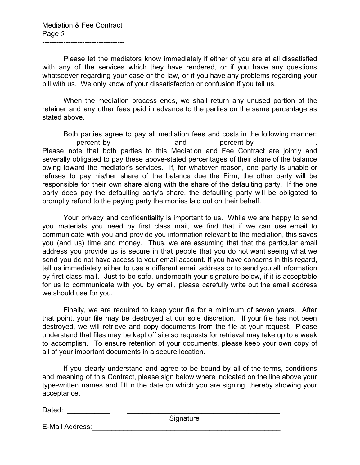-----------------------------------

Please let the mediators know immediately if either of you are at all dissatisfied with any of the services which they have rendered, or if you have any questions whatsoever regarding your case or the law, or if you have any problems regarding your bill with us. We only know of your dissatisfaction or confusion if you tell us.

When the mediation process ends, we shall return any unused portion of the retainer and any other fees paid in advance to the parties on the same percentage as stated above.

Both parties agree to pay all mediation fees and costs in the following manner: percent by entitled and percent by  $\Box$ Please note that both parties to this Mediation and Fee Contract are jointly and severally obligated to pay these above-stated percentages of their share of the balance owing toward the mediator's services. If, for whatever reason, one party is unable or refuses to pay his/her share of the balance due the Firm, the other party will be responsible for their own share along with the share of the defaulting party. If the one party does pay the defaulting party's share, the defaulting party will be obligated to promptly refund to the paying party the monies laid out on their behalf.

Your privacy and confidentiality is important to us. While we are happy to send you materials you need by first class mail, we find that if we can use email to communicate with you and provide you information relevant to the mediation, this saves you (and us) time and money. Thus, we are assuming that that the particular email address you provide us is secure in that people that you do not want seeing what we send you do not have access to your email account. If you have concerns in this regard, tell us immediately either to use a different email address or to send you all information by first class mail. Just to be safe, underneath your signature below, if it is acceptable for us to communicate with you by email, please carefully write out the email address we should use for you.

Finally, we are required to keep your file for a minimum of seven years. After that point, your file may be destroyed at our sole discretion. If your file has not been destroyed, we will retrieve and copy documents from the file at your request. Please understand that files may be kept off site so requests for retrieval may take up to a week to accomplish. To ensure retention of your documents, please keep your own copy of all of your important documents in a secure location.

If you clearly understand and agree to be bound by all of the terms, conditions and meaning of this Contract, please sign below where indicated on the line above your type-written names and fill in the date on which you are signing, thereby showing your acceptance.

Dated: \_\_\_\_\_\_\_\_\_\_\_ \_\_\_\_\_\_\_\_\_\_\_\_\_\_\_\_\_\_\_\_\_\_\_\_\_\_\_\_\_\_\_\_\_\_\_\_\_\_\_

**Signature** 

E-Mail Address: